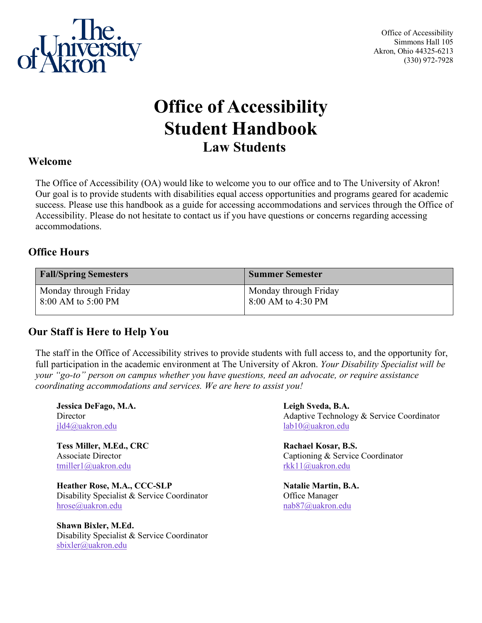

Office of Accessibility Simmons Hall 105 Akron, Ohio 44325-6213 (330) 972-7928

# **Office of Accessibility Student Handbook Law Students**

### **Welcome**

The Office of Accessibility (OA) would like to welcome you to our office and to The University of Akron! Our goal is to provide students with disabilities equal access opportunities and programs geared for academic success. Please use this handbook as a guide for accessing accommodations and services through the Office of Accessibility. Please do not hesitate to contact us if you have questions or concerns regarding accessing accommodations.

# **Office Hours**

| <b>Fall/Spring Semesters</b> | <b>Summer Semester</b> |
|------------------------------|------------------------|
| Monday through Friday        | Monday through Friday  |
| 8:00 AM to 5:00 PM           | 8:00 AM to 4:30 PM     |

# **Our Staff is Here to Help You**

The staff in the Office of Accessibility strives to provide students with full access to, and the opportunity for, full participation in the academic environment at The University of Akron. *Your Disability Specialist will be your "go-to" person on campus whether you have questions, need an advocate, or require assistance coordinating accommodations and services. We are here to assist you!* 

**Jessica DeFago, M.A. Leigh Sveda, B.A.** [jld4@uakron.edu](mailto:jld4@uakron.edu) [lab10@uakron.edu](mailto:lab10@uakron.edu) 

**Tess Miller, M.Ed., CRC** Rachael Kosar, B.S. [tmiller1@uakron.edu](mailto:tmiller1@uakron.edu) [rkk11@uakron.edu](mailto:rkk11@uakron.edu)

**Heather Rose, M.A., CCC-SLP** Natalie Martin, B.A. Disability Specialist & Service Coordinator Office Manager [hrose@uakron.edu](mailto:hrose@uakron.edu) [nab87@uakron.edu](mailto:nab87@uakron.edu)

**Shawn Bixler, M.Ed.**  Disability Specialist & Service Coordinator [sbixler@uakron.edu](mailto:sbixler@uakron.edu)

Director Adaptive Technology & Service Coordinator

Associate Director Captioning & Service Coordinator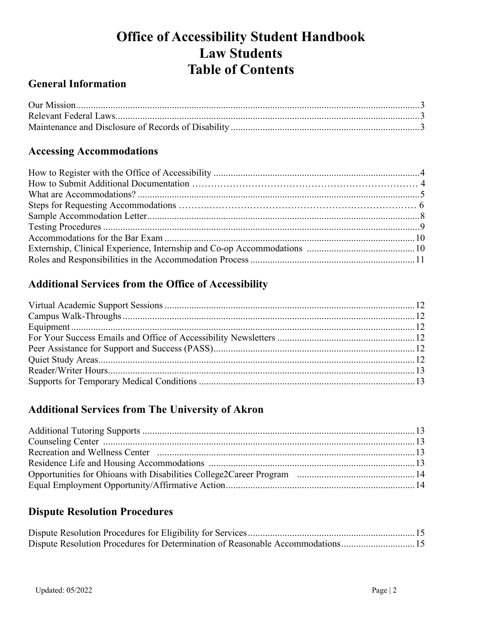# **Office of Accessibility Student Handbook Law Students Table of Contents**

# **General Information**

# **Accessing Accommodations**

# **Additional Services from the Office of Accessibility**

# **Additional Services from The University of Akron**

# **Dispute Resolution Procedures**

| Dispute Resolution Procedures for Determination of Reasonable Accommodations15 |  |
|--------------------------------------------------------------------------------|--|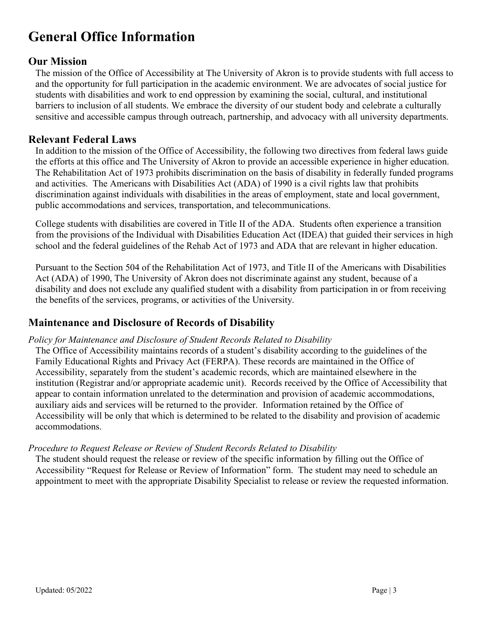# **General Office Information**

# **Our Mission**

The mission of the Office of Accessibility at The University of Akron is to provide students with full access to and the opportunity for full participation in the academic environment. We are advocates of social justice for students with disabilities and work to end oppression by examining the social, cultural, and institutional barriers to inclusion of all students. We embrace the diversity of our student body and celebrate a culturally sensitive and accessible campus through outreach, partnership, and advocacy with all university departments.

# **Relevant Federal Laws**

In addition to the mission of the Office of Accessibility, the following two directives from federal laws guide the efforts at this office and The University of Akron to provide an accessible experience in higher education. The Rehabilitation Act of 1973 prohibits discrimination on the basis of disability in federally funded programs and activities. The Americans with Disabilities Act (ADA) of 1990 is a civil rights law that prohibits discrimination against individuals with disabilities in the areas of employment, state and local government, public accommodations and services, transportation, and telecommunications.

College students with disabilities are covered in Title II of the ADA. Students often experience a transition from the provisions of the Individual with Disabilities Education Act (IDEA) that guided their services in high school and the federal guidelines of the Rehab Act of 1973 and ADA that are relevant in higher education.

Pursuant to the Section 504 of the Rehabilitation Act of 1973, and Title II of the Americans with Disabilities Act (ADA) of 1990, The University of Akron does not discriminate against any student, because of a disability and does not exclude any qualified student with a disability from participation in or from receiving the benefits of the services, programs, or activities of the University.

# **Maintenance and Disclosure of Records of Disability**

# *Policy for Maintenance and Disclosure of Student Records Related to Disability*

The Office of Accessibility maintains records of a student's disability according to the guidelines of the Family Educational Rights and Privacy Act (FERPA). These records are maintained in the Office of Accessibility, separately from the student's academic records, which are maintained elsewhere in the institution (Registrar and/or appropriate academic unit). Records received by the Office of Accessibility that appear to contain information unrelated to the determination and provision of academic accommodations, auxiliary aids and services will be returned to the provider. Information retained by the Office of Accessibility will be only that which is determined to be related to the disability and provision of academic accommodations.

# *Procedure to Request Release or Review of Student Records Related to Disability*

The student should request the release or review of the specific information by filling out the Office of Accessibility "Request for Release or Review of Information" form. The student may need to schedule an appointment to meet with the appropriate Disability Specialist to release or review the requested information.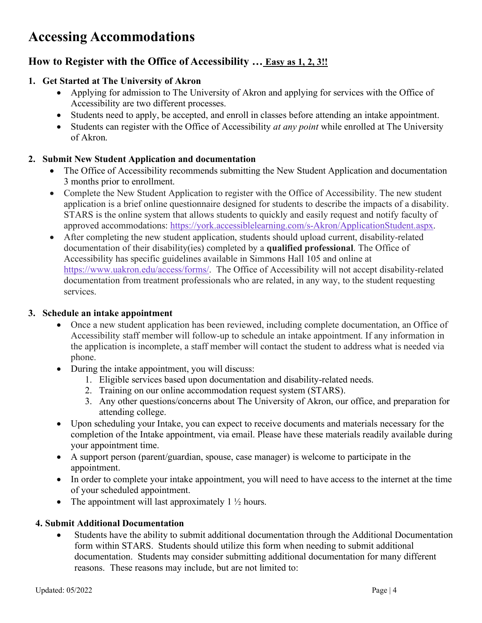# **Accessing Accommodations**

# **How to Register with the Office of Accessibility … Easy as 1, 2, 3!!**

# **1. Get Started at The University of Akron**

- Applying for admission to The University of Akron and applying for services with the Office of Accessibility are two different processes.
- Students need to apply, be accepted, and enroll in classes before attending an intake appointment.
- Students can register with the Office of Accessibility *at any point* while enrolled at The University of Akron.

# **2. Submit New Student Application and documentation**

- The Office of Accessibility recommends submitting the New Student Application and documentation 3 months prior to enrollment.
- Complete the New Student Application to register with the Office of Accessibility. The new student application is a brief online questionnaire designed for students to describe the impacts of a disability. STARS is the online system that allows students to quickly and easily request and notify faculty of approved accommodations: [https://york.accessiblelearning.com/s-Akron/ApplicationStudent.aspx.](https://york.accessiblelearning.com/s-Akron/ApplicationStudent.aspx)
- After completing the new student application, students should upload current, disability-related documentation of their disability(ies) completed by a **qualified professional**. The Office of Accessibility has specific guidelines available in Simmons Hall 105 and online at [https://www.uakron.edu/access/forms/.](https://www.uakron.edu/access/forms/) The Office of Accessibility will not accept disability-related documentation from treatment professionals who are related, in any way, to the student requesting services.

### **3. Schedule an intake appointment**

- Once a new student application has been reviewed, including complete documentation, an Office of Accessibility staff member will follow-up to schedule an intake appointment. If any information in the application is incomplete, a staff member will contact the student to address what is needed via phone.
- During the intake appointment, you will discuss:
	- 1. Eligible services based upon documentation and disability-related needs.
	- 2. Training on our online accommodation request system (STARS).
	- 3. Any other questions/concerns about The University of Akron, our office, and preparation for attending college.
- Upon scheduling your Intake, you can expect to receive documents and materials necessary for the completion of the Intake appointment, via email. Please have these materials readily available during your appointment time.
- A support person (parent/guardian, spouse, case manager) is welcome to participate in the appointment.
- In order to complete your intake appointment, you will need to have access to the internet at the time of your scheduled appointment.
- The appointment will last approximately  $1 \frac{1}{2}$  hours.

# **4. Submit Additional Documentation**

• Students have the ability to submit additional documentation through the Additional Documentation form within STARS. Students should utilize this form when needing to submit additional documentation. Students may consider submitting additional documentation for many different reasons. These reasons may include, but are not limited to: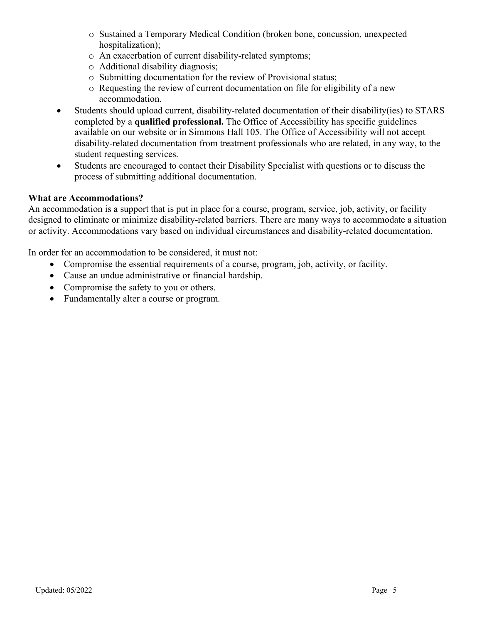- o Sustained a Temporary Medical Condition (broken bone, concussion, unexpected hospitalization);
- o An exacerbation of current disability-related symptoms;
- o Additional disability diagnosis;
- o Submitting documentation for the review of Provisional status;
- o Requesting the review of current documentation on file for eligibility of a new accommodation.
- Students should upload current, disability-related documentation of their disability(ies) to STARS completed by a **qualified professional.** The Office of Accessibility has specific guidelines available on our website or in Simmons Hall 105. The Office of Accessibility will not accept disability-related documentation from treatment professionals who are related, in any way, to the student requesting services.
- Students are encouraged to contact their Disability Specialist with questions or to discuss the process of submitting additional documentation.

#### **What are Accommodations?**

An accommodation is a support that is put in place for a course, program, service, job, activity, or facility designed to eliminate or minimize disability-related barriers. There are many ways to accommodate a situation or activity. Accommodations vary based on individual circumstances and disability-related documentation.

In order for an accommodation to be considered, it must not:

- Compromise the essential requirements of a course, program, job, activity, or facility.
- Cause an undue administrative or financial hardship.
- Compromise the safety to you or others.
- Fundamentally alter a course or program.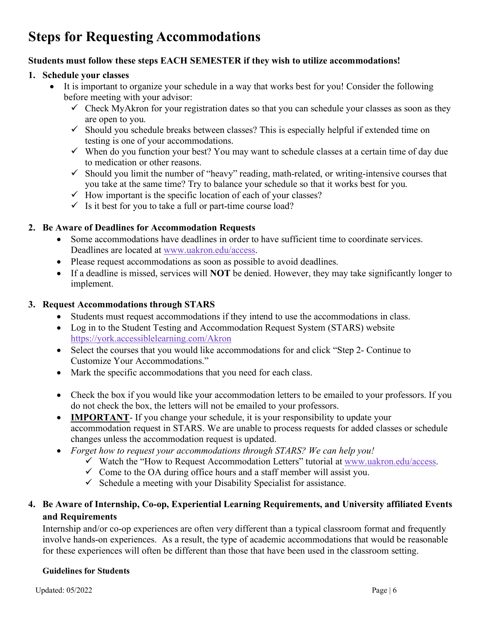# **Steps for Requesting Accommodations**

### **Students must follow these steps EACH SEMESTER if they wish to utilize accommodations!**

#### **1. Schedule your classes**

- It is important to organize your schedule in a way that works best for you! Consider the following before meeting with your advisor:
	- $\checkmark$  Check MyAkron for your registration dates so that you can schedule your classes as soon as they are open to you.
	- $\checkmark$  Should you schedule breaks between classes? This is especially helpful if extended time on testing is one of your accommodations.
	- $\checkmark$  When do you function your best? You may want to schedule classes at a certain time of day due to medication or other reasons.
	- $\checkmark$  Should you limit the number of "heavy" reading, math-related, or writing-intensive courses that you take at the same time? Try to balance your schedule so that it works best for you.
	- $\checkmark$  How important is the specific location of each of your classes?
	- $\checkmark$  Is it best for you to take a full or part-time course load?

### **2. Be Aware of Deadlines for Accommodation Requests**

- Some accommodations have deadlines in order to have sufficient time to coordinate services. Deadlines are located at [www.uakron.edu/access.](http://www.uakron.edu/access)
- Please request accommodations as soon as possible to avoid deadlines.
- If a deadline is missed, services will **NOT** be denied. However, they may take significantly longer to implement.

#### **3. Request Accommodations through STARS**

- Students must request accommodations if they intend to use the accommodations in class.
- Log in to the Student Testing and Accommodation Request System (STARS) website <https://york.accessiblelearning.com/Akron>
- Select the courses that you would like accommodations for and click "Step 2- Continue to Customize Your Accommodations."
- Mark the specific accommodations that you need for each class.
- Check the box if you would like your accommodation letters to be emailed to your professors. If you do not check the box, the letters will not be emailed to your professors.
- **IMPORTANT** If you change your schedule, it is your responsibility to update your accommodation request in STARS. We are unable to process requests for added classes or schedule changes unless the accommodation request is updated.
- *Forget how to request your accommodations through STARS? We can help you!*
	- $\checkmark$  Watch the "How to Request Accommodation Letters" tutorial at [www.uakron.edu/access.](http://www.uakron.edu/access)
	- $\checkmark$  Come to the OA during office hours and a staff member will assist you.
	- $\checkmark$  Schedule a meeting with your Disability Specialist for assistance.

# **4. Be Aware of Internship, Co-op, Experiential Learning Requirements, and University affiliated Events and Requirements**

Internship and/or co-op experiences are often very different than a typical classroom format and frequently involve hands-on experiences. As a result, the type of academic accommodations that would be reasonable for these experiences will often be different than those that have been used in the classroom setting.

#### **Guidelines for Students**

Updated:  $05/2022$  Page | 6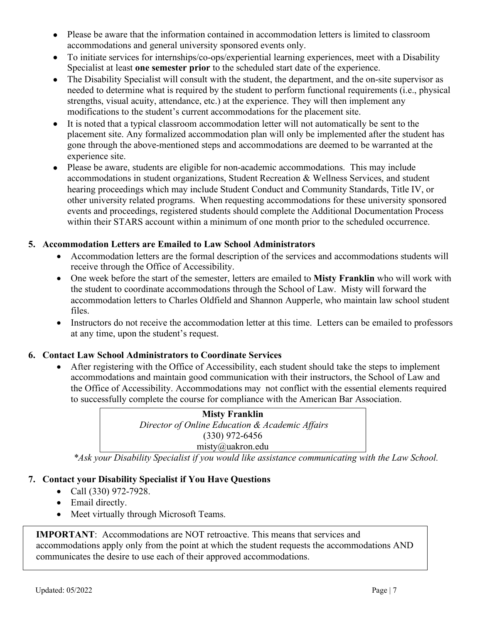- Please be aware that the information contained in accommodation letters is limited to classroom accommodations and general university sponsored events only.
- To initiate services for internships/co-ops/experiential learning experiences, meet with a Disability Specialist at least **one semester prior** to the scheduled start date of the experience.
- The Disability Specialist will consult with the student, the department, and the on-site supervisor as needed to determine what is required by the student to perform functional requirements (i.e., physical strengths, visual acuity, attendance, etc.) at the experience. They will then implement any modifications to the student's current accommodations for the placement site.
- It is noted that a typical classroom accommodation letter will not automatically be sent to the placement site. Any formalized accommodation plan will only be implemented after the student has gone through the above-mentioned steps and accommodations are deemed to be warranted at the experience site.
- Please be aware, students are eligible for non-academic accommodations. This may include accommodations in student organizations, Student Recreation & Wellness Services, and student hearing proceedings which may include Student Conduct and Community Standards, Title IV, or other university related programs. When requesting accommodations for these university sponsored events and proceedings, registered students should complete the Additional Documentation Process within their STARS account within a minimum of one month prior to the scheduled occurrence.

# **5. Accommodation Letters are Emailed to Law School Administrators**

- Accommodation letters are the formal description of the services and accommodations students will receive through the Office of Accessibility.
- One week before the start of the semester, letters are emailed to **Misty Franklin** who will work with the student to coordinate accommodations through the School of Law. Misty will forward the accommodation letters to Charles Oldfield and Shannon Aupperle, who maintain law school student files.
- Instructors do not receive the accommodation letter at this time. Letters can be emailed to professors at any time, upon the student's request.

# **6. Contact Law School Administrators to Coordinate Services**

• After registering with the Office of Accessibility, each student should take the steps to implement accommodations and maintain good communication with their instructors, the School of Law and the Office of Accessibility. Accommodations may not conflict with the essential elements required to successfully complete the course for compliance with the American Bar Association.

> **Misty Franklin** *Director of Online Education & Academic Affairs* (330) 972-6456 misty@uakron.edu

*\*Ask your Disability Specialist if you would like assistance communicating with the Law School.*

# **7. Contact your Disability Specialist if You Have Questions**

- Call (330) 972-7928.
- Email directly.
- Meet virtually through Microsoft Teams.

**IMPORTANT:** Accommodations are NOT retroactive. This means that services and accommodations apply only from the point at which the student requests the accommodations AND communicates the desire to use each of their approved accommodations.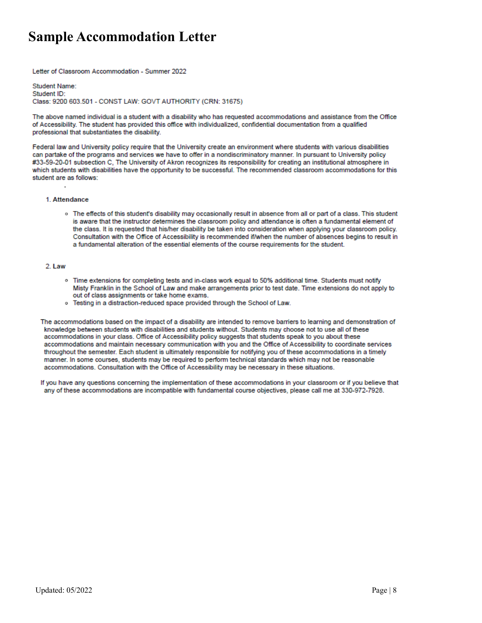# **Sample Accommodation Letter**

Letter of Classroom Accommodation - Summer 2022

Student Name: Student ID: Class: 9200 603.501 - CONST LAW: GOVT AUTHORITY (CRN: 31675)

The above named individual is a student with a disability who has requested accommodations and assistance from the Office of Accessibility. The student has provided this office with individualized, confidential documentation from a qualified professional that substantiates the disability.

Federal law and University policy require that the University create an environment where students with various disabilities can partake of the programs and services we have to offer in a nondiscriminatory manner. In pursuant to University policy #33-59-20-01 subsection C, The University of Akron recognizes its responsibility for creating an institutional atmosphere in which students with disabilities have the opportunity to be successful. The recommended classroom accommodations for this student are as follows:

#### 1. Attendance

o The effects of this student's disability may occasionally result in absence from all or part of a class. This student is aware that the instructor determines the classroom policy and attendance is often a fundamental element of the class. It is requested that his/her disability be taken into consideration when applying your classroom policy. Consultation with the Office of Accessibility is recommended if/when the number of absences begins to result in a fundamental alteration of the essential elements of the course requirements for the student.

#### 2. Law

- o Time extensions for completing tests and in-class work equal to 50% additional time. Students must notify Misty Franklin in the School of Law and make arrangements prior to test date. Time extensions do not apply to out of class assignments or take home exams.
- o Testing in a distraction-reduced space provided through the School of Law.

The accommodations based on the impact of a disability are intended to remove barriers to learning and demonstration of knowledge between students with disabilities and students without. Students may choose not to use all of these accommodations in your class. Office of Accessibility policy suggests that students speak to you about these accommodations and maintain necessary communication with you and the Office of Accessibility to coordinate services throughout the semester. Each student is ultimately responsible for notifying you of these accommodations in a timely manner. In some courses, students may be required to perform technical standards which may not be reasonable accommodations. Consultation with the Office of Accessibility may be necessary in these situations.

If you have any questions concerning the implementation of these accommodations in your classroom or if you believe that any of these accommodations are incompatible with fundamental course objectives, please call me at 330-972-7928.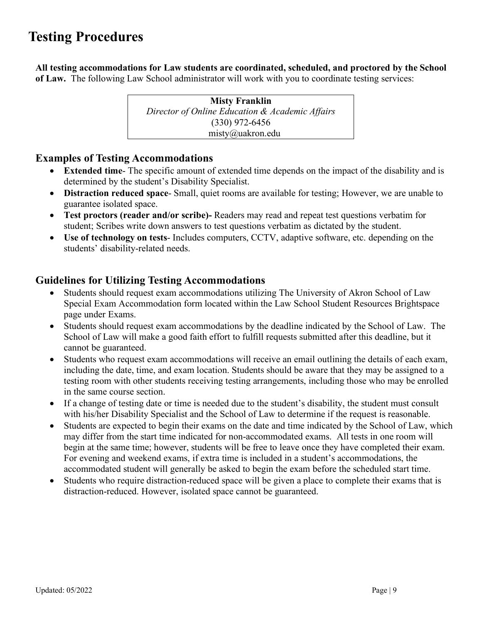# **Testing Procedures**

**All testing accommodations for Law students are coordinated, scheduled, and proctored by the School of Law.** The following Law School administrator will work with you to coordinate testing services:

> **Misty Franklin** *Director of Online Education & Academic Affairs* (330) 972-6456 misty@uakron.edu

# **Examples of Testing Accommodations**

- **Extended time** The specific amount of extended time depends on the impact of the disability and is determined by the student's Disability Specialist.
- **Distraction reduced space** Small, quiet rooms are available for testing; However, we are unable to guarantee isolated space.
- **Test proctors (reader and/or scribe)-** Readers may read and repeat test questions verbatim for student; Scribes write down answers to test questions verbatim as dictated by the student.
- **Use of technology on tests** Includes computers, CCTV, adaptive software, etc. depending on the students' disability-related needs.

# **Guidelines for Utilizing Testing Accommodations**

- Students should request exam accommodations utilizing The University of Akron School of Law Special Exam Accommodation form located within the Law School Student Resources Brightspace page under Exams.
- Students should request exam accommodations by the deadline indicated by the School of Law. The School of Law will make a good faith effort to fulfill requests submitted after this deadline, but it cannot be guaranteed.
- Students who request exam accommodations will receive an email outlining the details of each exam, including the date, time, and exam location. Students should be aware that they may be assigned to a testing room with other students receiving testing arrangements, including those who may be enrolled in the same course section.
- If a change of testing date or time is needed due to the student's disability, the student must consult with his/her Disability Specialist and the School of Law to determine if the request is reasonable.
- Students are expected to begin their exams on the date and time indicated by the School of Law, which may differ from the start time indicated for non-accommodated exams. All tests in one room will begin at the same time; however, students will be free to leave once they have completed their exam. For evening and weekend exams, if extra time is included in a student's accommodations, the accommodated student will generally be asked to begin the exam before the scheduled start time.
- Students who require distraction-reduced space will be given a place to complete their exams that is distraction-reduced. However, isolated space cannot be guaranteed.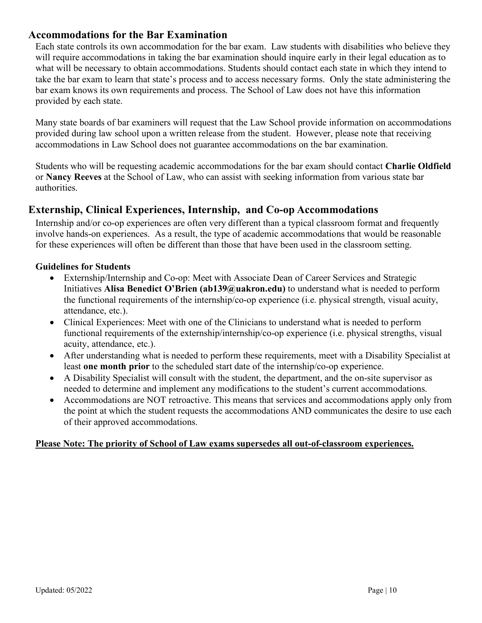# **Accommodations for the Bar Examination**

Each state controls its own accommodation for the bar exam. Law students with disabilities who believe they will require accommodations in taking the bar examination should inquire early in their legal education as to what will be necessary to obtain accommodations. Students should contact each state in which they intend to take the bar exam to learn that state's process and to access necessary forms. Only the state administering the bar exam knows its own requirements and process. The School of Law does not have this information provided by each state.

Many state boards of bar examiners will request that the Law School provide information on accommodations provided during law school upon a written release from the student. However, please note that receiving accommodations in Law School does not guarantee accommodations on the bar examination.

Students who will be requesting academic accommodations for the bar exam should contact **Charlie Oldfield** or **Nancy Reeves** at the School of Law, who can assist with seeking information from various state bar authorities.

# **Externship, Clinical Experiences, Internship, and Co-op Accommodations**

Internship and/or co-op experiences are often very different than a typical classroom format and frequently involve hands-on experiences. As a result, the type of academic accommodations that would be reasonable for these experiences will often be different than those that have been used in the classroom setting.

### **Guidelines for Students**

- Externship/Internship and Co-op: Meet with Associate Dean of Career Services and Strategic Initiatives **Alisa Benedict O'Brien (ab139@uakron.edu)** to understand what is needed to perform the functional requirements of the internship/co-op experience (i.e. physical strength, visual acuity, attendance, etc.).
- Clinical Experiences: Meet with one of the Clinicians to understand what is needed to perform functional requirements of the externship/internship/co-op experience (i.e. physical strengths, visual acuity, attendance, etc.).
- After understanding what is needed to perform these requirements, meet with a Disability Specialist at least **one month prior** to the scheduled start date of the internship/co-op experience.
- A Disability Specialist will consult with the student, the department, and the on-site supervisor as needed to determine and implement any modifications to the student's current accommodations.
- Accommodations are NOT retroactive. This means that services and accommodations apply only from the point at which the student requests the accommodations AND communicates the desire to use each of their approved accommodations.

### **Please Note: The priority of School of Law exams supersedes all out-of-classroom experiences.**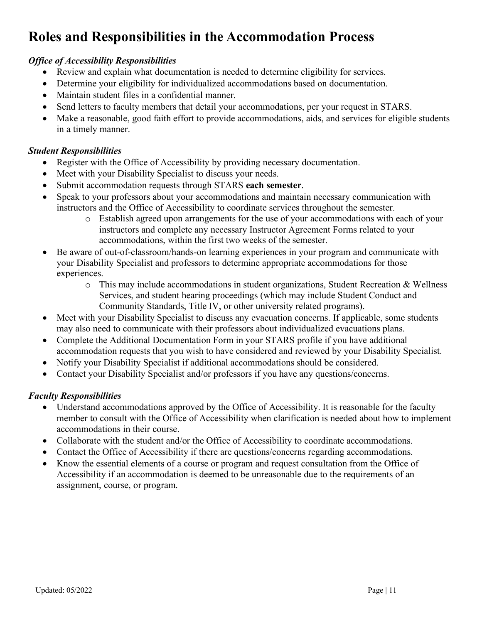# **Roles and Responsibilities in the Accommodation Process**

### *Office of Accessibility Responsibilities*

- Review and explain what documentation is needed to determine eligibility for services.
- Determine your eligibility for individualized accommodations based on documentation.
- Maintain student files in a confidential manner.
- Send letters to faculty members that detail your accommodations, per your request in STARS.
- Make a reasonable, good faith effort to provide accommodations, aids, and services for eligible students in a timely manner.

### *Student Responsibilities*

- Register with the Office of Accessibility by providing necessary documentation.
- Meet with your Disability Specialist to discuss your needs.
- Submit accommodation requests through STARS **each semester**.
- Speak to your professors about your accommodations and maintain necessary communication with instructors and the Office of Accessibility to coordinate services throughout the semester.
	- o Establish agreed upon arrangements for the use of your accommodations with each of your instructors and complete any necessary Instructor Agreement Forms related to your accommodations, within the first two weeks of the semester.
- Be aware of out-of-classroom/hands-on learning experiences in your program and communicate with your Disability Specialist and professors to determine appropriate accommodations for those experiences.
	- $\circ$  This may include accommodations in student organizations, Student Recreation & Wellness Services, and student hearing proceedings (which may include Student Conduct and Community Standards, Title IV, or other university related programs).
- Meet with your Disability Specialist to discuss any evacuation concerns. If applicable, some students may also need to communicate with their professors about individualized evacuations plans.
- Complete the Additional Documentation Form in your STARS profile if you have additional accommodation requests that you wish to have considered and reviewed by your Disability Specialist.
- Notify your Disability Specialist if additional accommodations should be considered.
- Contact your Disability Specialist and/or professors if you have any questions/concerns.

### *Faculty Responsibilities*

- Understand accommodations approved by the Office of Accessibility. It is reasonable for the faculty member to consult with the Office of Accessibility when clarification is needed about how to implement accommodations in their course.
- Collaborate with the student and/or the Office of Accessibility to coordinate accommodations.
- Contact the Office of Accessibility if there are questions/concerns regarding accommodations.
- Know the essential elements of a course or program and request consultation from the Office of Accessibility if an accommodation is deemed to be unreasonable due to the requirements of an assignment, course, or program.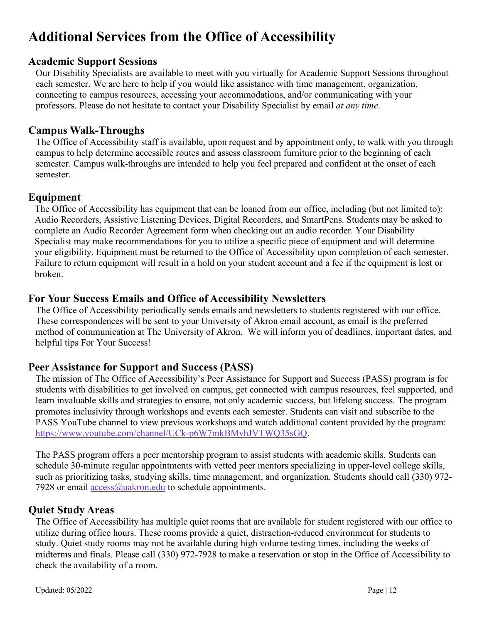# **Additional Services from the Office of Accessibility**

# **Academic Support Sessions**

Our Disability Specialists are available to meet with you virtually for Academic Support Sessions throughout each semester. We are here to help if you would like assistance with time management, organization, connecting to campus resources, accessing your accommodations, and/or communicating with your professors. Please do not hesitate to contact your Disability Specialist by email *at any time*.

# **Campus Walk-Throughs**

The Office of Accessibility staff is available, upon request and by appointment only, to walk with you through campus to help determine accessible routes and assess classroom furniture prior to the beginning of each semester. Campus walk-throughs are intended to help you feel prepared and confident at the onset of each semester.

# **Equipment**

The Office of Accessibility has equipment that can be loaned from our office, including (but not limited to): Audio Recorders, Assistive Listening Devices, Digital Recorders, and SmartPens. Students may be asked to complete an Audio Recorder Agreement form when checking out an audio recorder. Your Disability Specialist may make recommendations for you to utilize a specific piece of equipment and will determine your eligibility. Equipment must be returned to the Office of Accessibility upon completion of each semester. Failure to return equipment will result in a hold on your student account and a fee if the equipment is lost or broken.

# **For Your Success Emails and Office of Accessibility Newsletters**

The Office of Accessibility periodically sends emails and newsletters to students registered with our office. These correspondences will be sent to your University of Akron email account, as email is the preferred method of communication at The University of Akron. We will inform you of deadlines, important dates, and helpful tips For Your Success!

# **Peer Assistance for Support and Success (PASS)**

The mission of The Office of Accessibility's Peer Assistance for Support and Success (PASS) program is for students with disabilities to get involved on campus, get connected with campus resources, feel supported, and learn invaluable skills and strategies to ensure, not only academic success, but lifelong success. The program promotes inclusivity through workshops and events each semester. Students can visit and subscribe to the PASS YouTube channel to view previous workshops and watch additional content provided by the program: [https://www.youtube.com/channel/UCk-p6W7mkBMvhJVTWQ35sGQ.](https://www.youtube.com/channel/UCk-p6W7mkBMvhJVTWQ35sGQ)

The PASS program offers a peer mentorship program to assist students with academic skills. Students can schedule 30-minute regular appointments with vetted peer mentors specializing in upper-level college skills, such as prioritizing tasks, studying skills, time management, and organization. Students should call (330) 972- 7928 or email  $\arccos(a)$ uakron.edu to schedule appointments.

# **Quiet Study Areas**

The Office of Accessibility has multiple quiet rooms that are available for student registered with our office to utilize during office hours. These rooms provide a quiet, distraction-reduced environment for students to study. Quiet study rooms may not be available during high volume testing times, including the weeks of midterms and finals. Please call (330) 972-7928 to make a reservation or stop in the Office of Accessibility to check the availability of a room.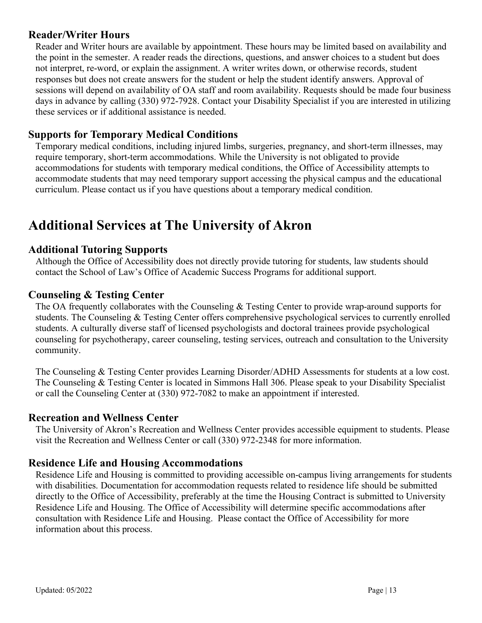# **Reader/Writer Hours**

Reader and Writer hours are available by appointment. These hours may be limited based on availability and the point in the semester. A reader reads the directions, questions, and answer choices to a student but does not interpret, re-word, or explain the assignment. A writer writes down, or otherwise records, student responses but does not create answers for the student or help the student identify answers. Approval of sessions will depend on availability of OA staff and room availability. Requests should be made four business days in advance by calling (330) 972-7928. Contact your Disability Specialist if you are interested in utilizing these services or if additional assistance is needed.

# **Supports for Temporary Medical Conditions**

Temporary medical conditions, including injured limbs, surgeries, pregnancy, and short-term illnesses, may require temporary, short-term accommodations. While the University is not obligated to provide accommodations for students with temporary medical conditions, the Office of Accessibility attempts to accommodate students that may need temporary support accessing the physical campus and the educational curriculum. Please contact us if you have questions about a temporary medical condition.

# **Additional Services at The University of Akron**

# **Additional Tutoring Supports**

Although the Office of Accessibility does not directly provide tutoring for students, law students should contact the School of Law's Office of Academic Success Programs for additional support.

# **Counseling & Testing Center**

The OA frequently collaborates with the Counseling & Testing Center to provide wrap-around supports for students. The Counseling & Testing Center offers comprehensive psychological services to currently enrolled students. A culturally diverse staff of licensed psychologists and doctoral trainees provide psychological counseling for psychotherapy, career counseling, testing services, outreach and consultation to the University community.

The Counseling & Testing Center provides Learning Disorder/ADHD Assessments for students at a low cost. The Counseling & Testing Center is located in Simmons Hall 306. Please speak to your Disability Specialist or call the Counseling Center at (330) 972-7082 to make an appointment if interested.

### **Recreation and Wellness Center**

The University of Akron's Recreation and Wellness Center provides accessible equipment to students. Please visit the Recreation and Wellness Center or call (330) 972-2348 for more information.

### **Residence Life and Housing Accommodations**

Residence Life and Housing is committed to providing accessible on-campus living arrangements for students with disabilities. Documentation for accommodation requests related to residence life should be submitted directly to the Office of Accessibility, preferably at the time the Housing Contract is submitted to University Residence Life and Housing. The Office of Accessibility will determine specific accommodations after consultation with Residence Life and Housing. Please contact the Office of Accessibility for more information about this process.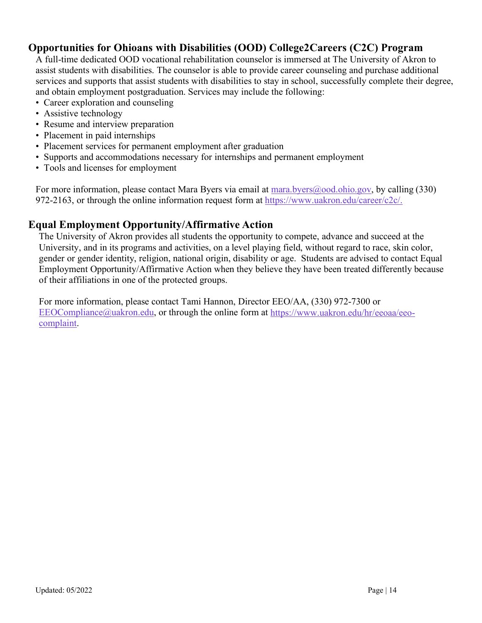# **Opportunities for Ohioans with Disabilities (OOD) College2Careers (C2C) Program**

A full-time dedicated OOD vocational rehabilitation counselor is immersed at The University of Akron to assist students with disabilities. The counselor is able to provide career counseling and purchase additional services and supports that assist students with disabilities to stay in school, successfully complete their degree, and obtain employment postgraduation. Services may include the following:

- Career exploration and counseling
- Assistive technology
- Resume and interview preparation
- Placement in paid internships
- Placement services for permanent employment after graduation
- Supports and accommodations necessary for internships and permanent employment
- Tools and licenses for employment

For more information, please contact Mara Byers via email at [mara.byers@ood.ohio.gov,](mailto:mara.byers@ood.ohio.gov) by calling (330) 972-2163, or through the online information request form at [https://www.uakron.edu/career/c2c/.](https://nam11.safelinks.protection.outlook.com/?url=https%3A%2F%2Fwww.uakron.edu%2Fcareer%2Fc2c%2F&data=04%7C01%7Cahaas%40uakron.edu%7C8a559625a55f4845ffe608d8d76071a5%7Ce8575dedd7f94ecea4aa0b32991aeedd%7C0%7C0%7C637496156712514412%7CUnknown%7CTWFpbGZsb3d8eyJWIjoiMC4wLjAwMDAiLCJQIjoiV2luMzIiLCJBTiI6Ik1haWwiLCJXVCI6Mn0%3D%7C1000&sdata=8B6Z4rBqxy2UFLxmh%2FgpyRIL0Vcdj7cJMQEpHkYCb9Y%3D&reserved=0)

# **Equal Employment Opportunity/Affirmative Action**

The University of Akron provides all students the opportunity to compete, advance and succeed at the University, and in its programs and activities, on a level playing field, without regard to race, skin color, gender or gender identity, religion, national origin, disability or age. Students are advised to contact Equal Employment Opportunity/Affirmative Action when they believe they have been treated differently because of their affiliations in one of the protected groups.

For more information, please contact Tami Hannon, Director EEO/AA, (330) 972-7300 or  $EEOCompliance@uakron.edu,$  or through the online form at [https://www.uakron.edu/hr/eeoaa/eeo](https://nam11.safelinks.protection.outlook.com/?url=https%3A%2F%2Fwww.uakron.edu%2Fhr%2Feeoaa%2Feeo-complaint&data=04%7C01%7Cahaas%40uakron.edu%7C2edc1c82d1774005581408d91548690d%7Ce8575dedd7f94ecea4aa0b32991aeedd%7C0%7C0%7C637564223001819349%7CUnknown%7CTWFpbGZsb3d8eyJWIjoiMC4wLjAwMDAiLCJQIjoiV2luMzIiLCJBTiI6Ik1haWwiLCJXVCI6Mn0%3D%7C1000&sdata=JniPJR9q2jtPzvWOlOG2GgGN5Cq1z1ZV8ACWLSeJbRk%3D&reserved=0)[complaint.](https://nam11.safelinks.protection.outlook.com/?url=https%3A%2F%2Fwww.uakron.edu%2Fhr%2Feeoaa%2Feeo-complaint&data=04%7C01%7Cahaas%40uakron.edu%7C2edc1c82d1774005581408d91548690d%7Ce8575dedd7f94ecea4aa0b32991aeedd%7C0%7C0%7C637564223001819349%7CUnknown%7CTWFpbGZsb3d8eyJWIjoiMC4wLjAwMDAiLCJQIjoiV2luMzIiLCJBTiI6Ik1haWwiLCJXVCI6Mn0%3D%7C1000&sdata=JniPJR9q2jtPzvWOlOG2GgGN5Cq1z1ZV8ACWLSeJbRk%3D&reserved=0)